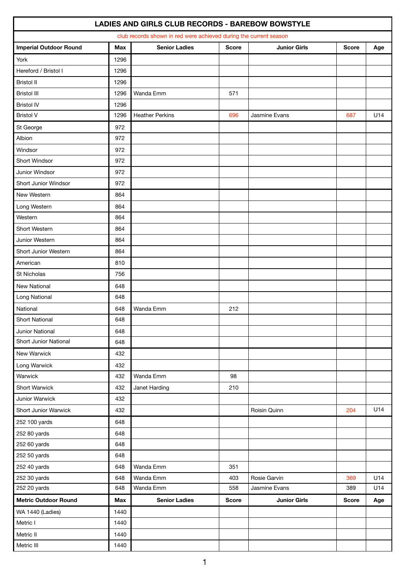| club records shown in red were achieved during the current season |            |                        |              |                     |              |     |  |  |  |  |
|-------------------------------------------------------------------|------------|------------------------|--------------|---------------------|--------------|-----|--|--|--|--|
| <b>Imperial Outdoor Round</b>                                     | <b>Max</b> | <b>Senior Ladies</b>   | <b>Score</b> | <b>Junior Girls</b> | <b>Score</b> | Age |  |  |  |  |
| York                                                              | 1296       |                        |              |                     |              |     |  |  |  |  |
| Hereford / Bristol I                                              | 1296       |                        |              |                     |              |     |  |  |  |  |
| <b>Bristol II</b>                                                 | 1296       |                        |              |                     |              |     |  |  |  |  |
| <b>Bristol III</b>                                                | 1296       | Wanda Emm              | 571          |                     |              |     |  |  |  |  |
| <b>Bristol IV</b>                                                 | 1296       |                        |              |                     |              |     |  |  |  |  |
| <b>Bristol V</b>                                                  | 1296       | <b>Heather Perkins</b> | 696          | Jasmine Evans       | 687          | U14 |  |  |  |  |
| St George                                                         | 972        |                        |              |                     |              |     |  |  |  |  |
| Albion                                                            | 972        |                        |              |                     |              |     |  |  |  |  |
| Windsor                                                           | 972        |                        |              |                     |              |     |  |  |  |  |
| Short Windsor                                                     | 972        |                        |              |                     |              |     |  |  |  |  |
| Junior Windsor                                                    | 972        |                        |              |                     |              |     |  |  |  |  |
| Short Junior Windsor                                              | 972        |                        |              |                     |              |     |  |  |  |  |
| New Western                                                       | 864        |                        |              |                     |              |     |  |  |  |  |
| Long Western                                                      | 864        |                        |              |                     |              |     |  |  |  |  |
| Western                                                           | 864        |                        |              |                     |              |     |  |  |  |  |
| Short Western                                                     | 864        |                        |              |                     |              |     |  |  |  |  |
| Junior Western                                                    | 864        |                        |              |                     |              |     |  |  |  |  |
| Short Junior Western                                              | 864        |                        |              |                     |              |     |  |  |  |  |
| American                                                          | 810        |                        |              |                     |              |     |  |  |  |  |
| St Nicholas                                                       | 756        |                        |              |                     |              |     |  |  |  |  |
| New National                                                      | 648        |                        |              |                     |              |     |  |  |  |  |
| Long National                                                     | 648        |                        |              |                     |              |     |  |  |  |  |
| National                                                          | 648        | Wanda Emm              | 212          |                     |              |     |  |  |  |  |
| <b>Short National</b>                                             | 648        |                        |              |                     |              |     |  |  |  |  |
| Junior National                                                   | 648        |                        |              |                     |              |     |  |  |  |  |
| Short Junior National                                             | 648        |                        |              |                     |              |     |  |  |  |  |
| New Warwick                                                       | 432        |                        |              |                     |              |     |  |  |  |  |
| Long Warwick                                                      | 432        |                        |              |                     |              |     |  |  |  |  |
| Warwick                                                           | 432        | Wanda Emm              | 98           |                     |              |     |  |  |  |  |
| <b>Short Warwick</b>                                              | 432        | Janet Harding          | 210          |                     |              |     |  |  |  |  |
| Junior Warwick                                                    | 432        |                        |              |                     |              |     |  |  |  |  |
| Short Junior Warwick                                              | 432        |                        |              | Roisin Quinn        | 204          | U14 |  |  |  |  |
| 252 100 yards                                                     | 648        |                        |              |                     |              |     |  |  |  |  |
| 252 80 yards                                                      | 648        |                        |              |                     |              |     |  |  |  |  |
| 252 60 yards                                                      | 648        |                        |              |                     |              |     |  |  |  |  |
| 252 50 yards                                                      | 648        |                        |              |                     |              |     |  |  |  |  |
| 252 40 yards                                                      | 648        | Wanda Emm              | 351          |                     |              |     |  |  |  |  |
| 252 30 yards                                                      | 648        | Wanda Emm              | 403          | Rosie Garvin        | 369          | U14 |  |  |  |  |
| 252 20 yards                                                      | 648        | Wanda Emm              | 558          | Jasmine Evans       | 389          | U14 |  |  |  |  |
| <b>Metric Outdoor Round</b>                                       | <b>Max</b> | <b>Senior Ladies</b>   | <b>Score</b> | <b>Junior Girls</b> | <b>Score</b> | Age |  |  |  |  |
| WA 1440 (Ladies)                                                  | 1440       |                        |              |                     |              |     |  |  |  |  |
| Metric I                                                          | 1440       |                        |              |                     |              |     |  |  |  |  |
| Metric II                                                         | 1440       |                        |              |                     |              |     |  |  |  |  |
| Metric III                                                        | 1440       |                        |              |                     |              |     |  |  |  |  |